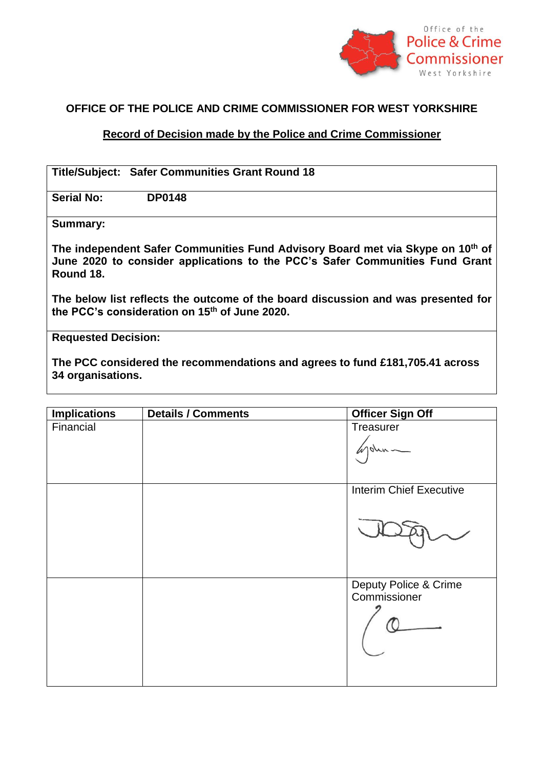

## **OFFICE OF THE POLICE AND CRIME COMMISSIONER FOR WEST YORKSHIRE**

## **Record of Decision made by the Police and Crime Commissioner**

|                   | <b>Title/Subject: Safer Communities Grant Round 18</b>                                                                                                         |
|-------------------|----------------------------------------------------------------------------------------------------------------------------------------------------------------|
| <b>Serial No:</b> | <b>DP0148</b>                                                                                                                                                  |
| Summary:          |                                                                                                                                                                |
| Round 18.         | The independent Safer Communities Fund Advisory Board met via Skype on 10th of<br>June 2020 to consider applications to the PCC's Safer Communities Fund Grant |
|                   | The below list reflects the outcome of the board discussion and was presented for<br>the PCC's consideration on 15 <sup>th</sup> of June 2020.                 |

**Requested Decision:**

**The PCC considered the recommendations and agrees to fund £181,705.41 across 34 organisations.** 

| <b>Implications</b> | <b>Details / Comments</b> | <b>Officer Sign Off</b>               |
|---------------------|---------------------------|---------------------------------------|
| Financial           |                           | Treasurer                             |
|                     |                           | $10\mu\kappa$                         |
|                     |                           | <b>Interim Chief Executive</b>        |
|                     |                           |                                       |
|                     |                           | Deputy Police & Crime<br>Commissioner |
|                     |                           |                                       |
|                     |                           |                                       |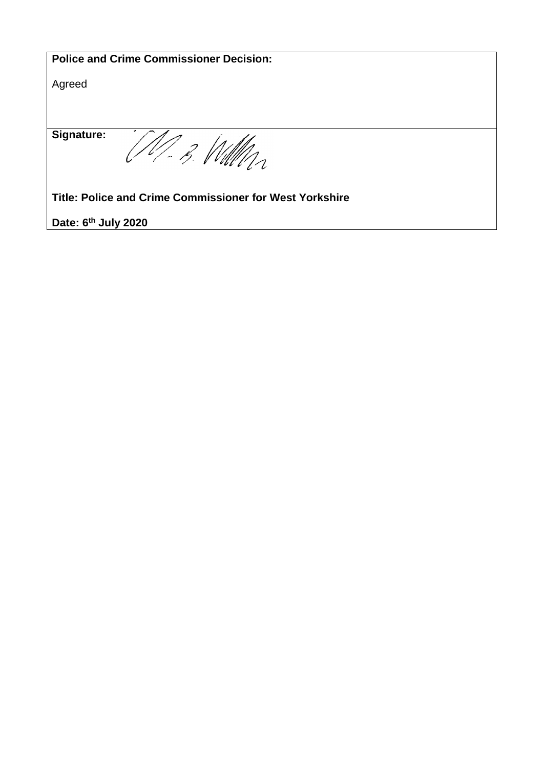| <b>Police and Crime Commissioner Decision:</b>          |  |  |  |
|---------------------------------------------------------|--|--|--|
| Agreed                                                  |  |  |  |
|                                                         |  |  |  |
|                                                         |  |  |  |
| <b>Signature:</b>                                       |  |  |  |
|                                                         |  |  |  |
| Title: Police and Crime Commissioner for West Yorkshire |  |  |  |
| Date: 6 <sup>th</sup> July 2020                         |  |  |  |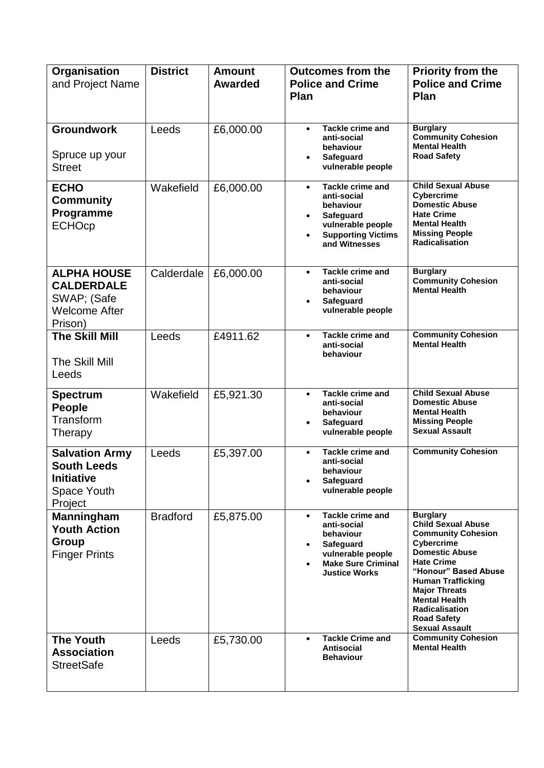| <b>Organisation</b><br>and Project Name                                                           | <b>District</b> | <b>Amount</b><br><b>Awarded</b> | <b>Outcomes from the</b><br><b>Police and Crime</b><br>Plan                                                                                                                | Priority from the<br><b>Police and Crime</b><br>Plan                                                                                                                                                                                                                                                              |
|---------------------------------------------------------------------------------------------------|-----------------|---------------------------------|----------------------------------------------------------------------------------------------------------------------------------------------------------------------------|-------------------------------------------------------------------------------------------------------------------------------------------------------------------------------------------------------------------------------------------------------------------------------------------------------------------|
| <b>Groundwork</b><br>Spruce up your<br><b>Street</b>                                              | Leeds           | £6,000.00                       | <b>Tackle crime and</b><br>$\bullet$<br>anti-social<br>behaviour<br><b>Safeguard</b><br>$\bullet$<br>vulnerable people                                                     | <b>Burglary</b><br><b>Community Cohesion</b><br><b>Mental Health</b><br><b>Road Safety</b>                                                                                                                                                                                                                        |
| <b>ECHO</b><br><b>Community</b><br>Programme<br><b>ECHOcp</b>                                     | Wakefield       | £6,000.00                       | <b>Tackle crime and</b><br>$\bullet$<br>anti-social<br>behaviour<br>Safeguard<br>$\bullet$<br>vulnerable people<br><b>Supporting Victims</b><br>$\bullet$<br>and Witnesses | <b>Child Sexual Abuse</b><br><b>Cybercrime</b><br><b>Domestic Abuse</b><br><b>Hate Crime</b><br><b>Mental Health</b><br><b>Missing People</b><br><b>Radicalisation</b>                                                                                                                                            |
| <b>ALPHA HOUSE</b><br><b>CALDERDALE</b><br>SWAP; (Safe<br><b>Welcome After</b><br>Prison)         | Calderdale      | £6,000.00                       | Tackle crime and<br>$\bullet$<br>anti-social<br>behaviour<br>Safeguard<br>$\bullet$<br>vulnerable people                                                                   | <b>Burglary</b><br><b>Community Cohesion</b><br><b>Mental Health</b>                                                                                                                                                                                                                                              |
| The Skill Mill<br>The Skill Mill<br>Leeds                                                         | Leeds           | £4911.62                        | Tackle crime and<br>$\bullet$<br>anti-social<br>behaviour                                                                                                                  | <b>Community Cohesion</b><br><b>Mental Health</b>                                                                                                                                                                                                                                                                 |
| <b>Spectrum</b><br>People<br>Transform<br>Therapy                                                 | Wakefield       | £5,921.30                       | <b>Tackle crime and</b><br>$\bullet$<br>anti-social<br>behaviour<br>Safeguard<br>$\bullet$<br>vulnerable people                                                            | <b>Child Sexual Abuse</b><br><b>Domestic Abuse</b><br><b>Mental Health</b><br><b>Missing People</b><br><b>Sexual Assault</b>                                                                                                                                                                                      |
| <b>Salvation Army</b><br><b>South Leeds</b><br><b>Initiative</b><br><b>Space Youth</b><br>Project | Leeds           | £5,397.00                       | <b>Tackle crime and</b><br>$\bullet$<br>anti-social<br>behaviour<br>Safeguard<br>$\bullet$<br>vulnerable people                                                            | <b>Community Cohesion</b>                                                                                                                                                                                                                                                                                         |
| <b>Manningham</b><br><b>Youth Action</b><br>Group<br><b>Finger Prints</b>                         | <b>Bradford</b> | £5,875.00                       | Tackle crime and<br>$\bullet$<br>anti-social<br>behaviour<br>Safeguard<br>$\bullet$<br>vulnerable people<br><b>Make Sure Criminal</b><br>$\bullet$<br><b>Justice Works</b> | <b>Burglary</b><br><b>Child Sexual Abuse</b><br><b>Community Cohesion</b><br><b>Cybercrime</b><br><b>Domestic Abuse</b><br><b>Hate Crime</b><br>"Honour" Based Abuse<br><b>Human Trafficking</b><br><b>Major Threats</b><br><b>Mental Health</b><br>Radicalisation<br><b>Road Safety</b><br><b>Sexual Assault</b> |
| <b>The Youth</b><br><b>Association</b><br><b>StreetSafe</b>                                       | Leeds           | £5,730.00                       | <b>Tackle Crime and</b><br>$\bullet$<br><b>Antisocial</b><br><b>Behaviour</b>                                                                                              | <b>Community Cohesion</b><br><b>Mental Health</b>                                                                                                                                                                                                                                                                 |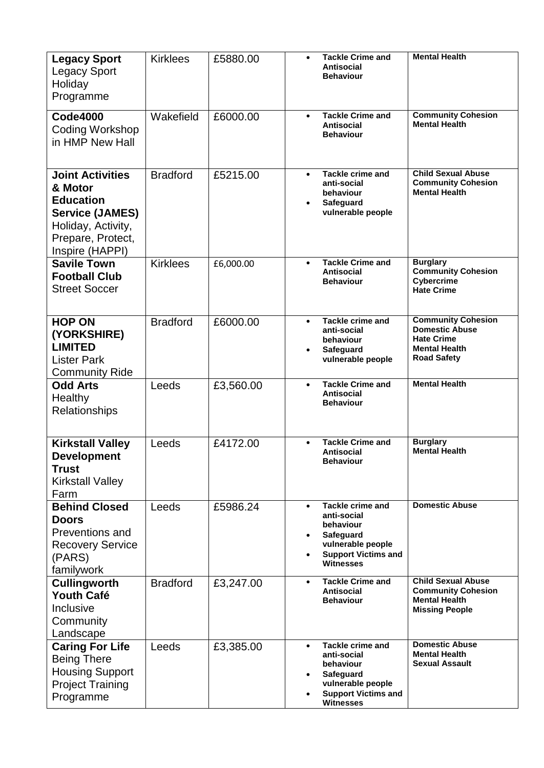| <b>Legacy Sport</b><br><b>Legacy Sport</b><br>Holiday<br>Programme                                                                             | <b>Kirklees</b> | £5880.00  | $\bullet$                           | <b>Tackle Crime and</b><br>Antisocial<br><b>Behaviour</b>                                                                                      | <b>Mental Health</b>                                                                                                  |
|------------------------------------------------------------------------------------------------------------------------------------------------|-----------------|-----------|-------------------------------------|------------------------------------------------------------------------------------------------------------------------------------------------|-----------------------------------------------------------------------------------------------------------------------|
| <b>Code4000</b><br>Coding Workshop<br>in HMP New Hall                                                                                          | Wakefield       | £6000.00  | $\bullet$                           | <b>Tackle Crime and</b><br>Antisocial<br><b>Behaviour</b>                                                                                      | <b>Community Cohesion</b><br><b>Mental Health</b>                                                                     |
| <b>Joint Activities</b><br>& Motor<br><b>Education</b><br><b>Service (JAMES)</b><br>Holiday, Activity,<br>Prepare, Protect,<br>Inspire (HAPPI) | <b>Bradford</b> | £5215.00  | $\bullet$<br>$\bullet$              | <b>Tackle crime and</b><br>anti-social<br>behaviour<br>Safeguard<br>vulnerable people                                                          | <b>Child Sexual Abuse</b><br><b>Community Cohesion</b><br><b>Mental Health</b>                                        |
| <b>Savile Town</b><br><b>Football Club</b><br><b>Street Soccer</b>                                                                             | <b>Kirklees</b> | £6,000.00 | $\bullet$                           | <b>Tackle Crime and</b><br><b>Antisocial</b><br><b>Behaviour</b>                                                                               | <b>Burglary</b><br><b>Community Cohesion</b><br>Cybercrime<br><b>Hate Crime</b>                                       |
| <b>HOP ON</b><br>(YORKSHIRE)<br><b>LIMITED</b><br><b>Lister Park</b><br><b>Community Ride</b>                                                  | <b>Bradford</b> | £6000.00  | $\bullet$<br>$\bullet$              | <b>Tackle crime and</b><br>anti-social<br>behaviour<br>Safeguard<br>vulnerable people                                                          | <b>Community Cohesion</b><br><b>Domestic Abuse</b><br><b>Hate Crime</b><br><b>Mental Health</b><br><b>Road Safety</b> |
| <b>Odd Arts</b><br>Healthy<br>Relationships                                                                                                    | Leeds           | £3,560.00 | $\bullet$                           | <b>Tackle Crime and</b><br><b>Antisocial</b><br><b>Behaviour</b>                                                                               | <b>Mental Health</b>                                                                                                  |
| <b>Kirkstall Valley</b><br><b>Development</b><br><b>Trust</b><br><b>Kirkstall Valley</b><br>Farm                                               | Leeds           | £4172.00  | $\bullet$                           | <b>Tackle Crime and</b><br>Antisocial<br>Behaviour                                                                                             | <b>Burglary</b><br><b>Mental Health</b>                                                                               |
| <b>Behind Closed</b><br><b>Doors</b><br>Preventions and<br><b>Recovery Service</b><br>(PARS)<br>familywork                                     | Leeds           | £5986.24  | $\bullet$<br>$\bullet$<br>$\bullet$ | <b>Tackle crime and</b><br>anti-social<br>behaviour<br><b>Safeguard</b><br>vulnerable people<br><b>Support Victims and</b><br><b>Witnesses</b> | <b>Domestic Abuse</b>                                                                                                 |
| <b>Cullingworth</b><br><b>Youth Café</b><br>Inclusive<br>Community<br>Landscape                                                                | <b>Bradford</b> | £3,247.00 | $\bullet$                           | <b>Tackle Crime and</b><br>Antisocial<br><b>Behaviour</b>                                                                                      | <b>Child Sexual Abuse</b><br><b>Community Cohesion</b><br><b>Mental Health</b><br><b>Missing People</b>               |
| <b>Caring For Life</b><br><b>Being There</b><br><b>Housing Support</b><br><b>Project Training</b><br>Programme                                 | Leeds           | £3,385.00 | $\bullet$<br>$\bullet$<br>$\bullet$ | <b>Tackle crime and</b><br>anti-social<br>behaviour<br><b>Safeguard</b><br>vulnerable people<br><b>Support Victims and</b><br>Witnesses        | <b>Domestic Abuse</b><br><b>Mental Health</b><br><b>Sexual Assault</b>                                                |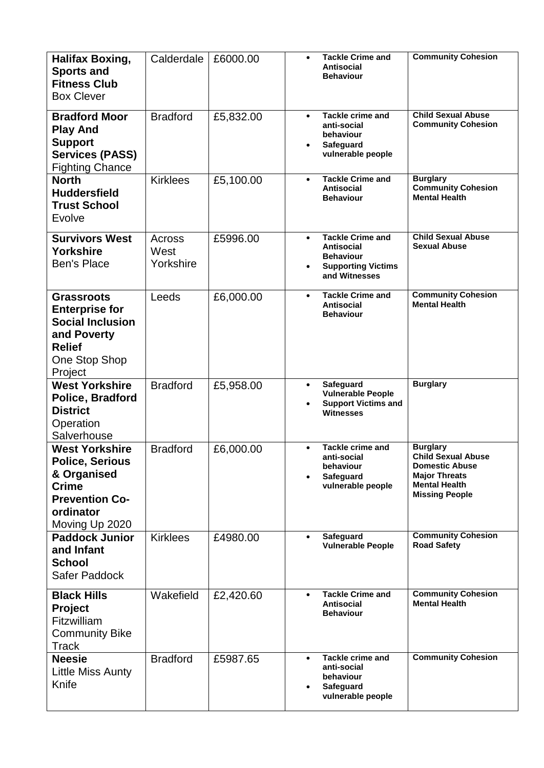| <b>Halifax Boxing,</b><br><b>Sports and</b><br><b>Fitness Club</b><br><b>Box Clever</b>                                                | Calderdale                  | £6000.00  | $\bullet$              | <b>Tackle Crime and</b><br><b>Antisocial</b><br><b>Behaviour</b>                                               | <b>Community Cohesion</b>                                                                                                                      |
|----------------------------------------------------------------------------------------------------------------------------------------|-----------------------------|-----------|------------------------|----------------------------------------------------------------------------------------------------------------|------------------------------------------------------------------------------------------------------------------------------------------------|
| <b>Bradford Moor</b><br><b>Play And</b><br><b>Support</b><br><b>Services (PASS)</b><br><b>Fighting Chance</b>                          | <b>Bradford</b>             | £5,832.00 | $\bullet$<br>$\bullet$ | <b>Tackle crime and</b><br>anti-social<br>behaviour<br><b>Safeguard</b><br>vulnerable people                   | <b>Child Sexual Abuse</b><br><b>Community Cohesion</b>                                                                                         |
| <b>North</b><br><b>Huddersfield</b><br><b>Trust School</b><br>Evolve                                                                   | <b>Kirklees</b>             | £5,100.00 | $\bullet$              | <b>Tackle Crime and</b><br><b>Antisocial</b><br><b>Behaviour</b>                                               | <b>Burglary</b><br><b>Community Cohesion</b><br><b>Mental Health</b>                                                                           |
| <b>Survivors West</b><br><b>Yorkshire</b><br><b>Ben's Place</b>                                                                        | Across<br>West<br>Yorkshire | £5996.00  | $\bullet$<br>$\bullet$ | <b>Tackle Crime and</b><br><b>Antisocial</b><br><b>Behaviour</b><br><b>Supporting Victims</b><br>and Witnesses | <b>Child Sexual Abuse</b><br><b>Sexual Abuse</b>                                                                                               |
| <b>Grassroots</b><br><b>Enterprise for</b><br><b>Social Inclusion</b><br>and Poverty<br><b>Relief</b><br>One Stop Shop<br>Project      | Leeds                       | £6,000.00 | $\bullet$              | <b>Tackle Crime and</b><br><b>Antisocial</b><br><b>Behaviour</b>                                               | <b>Community Cohesion</b><br><b>Mental Health</b>                                                                                              |
| <b>West Yorkshire</b><br>Police, Bradford<br><b>District</b><br>Operation<br>Salverhouse                                               | <b>Bradford</b>             | £5,958.00 | $\bullet$<br>$\bullet$ | Safeguard<br><b>Vulnerable People</b><br><b>Support Victims and</b><br><b>Witnesses</b>                        | <b>Burglary</b>                                                                                                                                |
| <b>West Yorkshire</b><br><b>Police, Serious</b><br>& Organised<br><b>Crime</b><br><b>Prevention Co-</b><br>ordinator<br>Moving Up 2020 | <b>Bradford</b>             | £6,000.00 | $\bullet$              | <b>Tackle crime and</b><br>anti-social<br>behaviour<br>Safeguard<br>vulnerable people                          | <b>Burglary</b><br><b>Child Sexual Abuse</b><br><b>Domestic Abuse</b><br><b>Major Threats</b><br><b>Mental Health</b><br><b>Missing People</b> |
| <b>Paddock Junior</b><br>and Infant<br><b>School</b><br>Safer Paddock                                                                  | <b>Kirklees</b>             | £4980.00  | $\bullet$              | Safeguard<br><b>Vulnerable People</b>                                                                          | <b>Community Cohesion</b><br><b>Road Safety</b>                                                                                                |
| <b>Black Hills</b><br><b>Project</b><br>Fitzwilliam<br><b>Community Bike</b><br>Track                                                  | Wakefield                   | £2,420.60 | $\bullet$              | Tackle Crime and<br>Antisocial<br><b>Behaviour</b>                                                             | <b>Community Cohesion</b><br><b>Mental Health</b>                                                                                              |
| <b>Neesie</b><br>Little Miss Aunty<br>Knife                                                                                            | <b>Bradford</b>             | £5987.65  | $\bullet$<br>$\bullet$ | <b>Tackle crime and</b><br>anti-social<br>behaviour<br>Safeguard<br>vulnerable people                          | <b>Community Cohesion</b>                                                                                                                      |